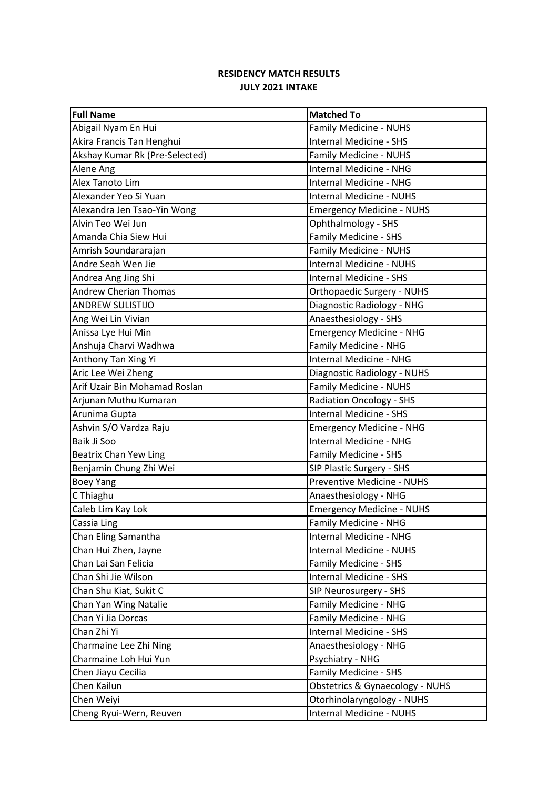| <b>Full Name</b>               | <b>Matched To</b>                 |
|--------------------------------|-----------------------------------|
| Abigail Nyam En Hui            | Family Medicine - NUHS            |
| Akira Francis Tan Henghui      | <b>Internal Medicine - SHS</b>    |
| Akshay Kumar Rk (Pre-Selected) | Family Medicine - NUHS            |
| Alene Ang                      | <b>Internal Medicine - NHG</b>    |
| Alex Tanoto Lim                | <b>Internal Medicine - NHG</b>    |
| Alexander Yeo Si Yuan          | <b>Internal Medicine - NUHS</b>   |
| Alexandra Jen Tsao-Yin Wong    | <b>Emergency Medicine - NUHS</b>  |
| Alvin Teo Wei Jun              | Ophthalmology - SHS               |
| Amanda Chia Siew Hui           | Family Medicine - SHS             |
| Amrish Soundararajan           | Family Medicine - NUHS            |
| Andre Seah Wen Jie             | <b>Internal Medicine - NUHS</b>   |
| Andrea Ang Jing Shi            | <b>Internal Medicine - SHS</b>    |
| <b>Andrew Cherian Thomas</b>   | <b>Orthopaedic Surgery - NUHS</b> |
| <b>ANDREW SULISTIJO</b>        | Diagnostic Radiology - NHG        |
| Ang Wei Lin Vivian             | Anaesthesiology - SHS             |
| Anissa Lye Hui Min             | <b>Emergency Medicine - NHG</b>   |
| Anshuja Charvi Wadhwa          | Family Medicine - NHG             |
| Anthony Tan Xing Yi            | Internal Medicine - NHG           |
| Aric Lee Wei Zheng             | Diagnostic Radiology - NUHS       |
| Arif Uzair Bin Mohamad Roslan  | Family Medicine - NUHS            |
| Arjunan Muthu Kumaran          | <b>Radiation Oncology - SHS</b>   |
| Arunima Gupta                  | <b>Internal Medicine - SHS</b>    |
| Ashvin S/O Vardza Raju         | <b>Emergency Medicine - NHG</b>   |
| Baik Ji Soo                    | <b>Internal Medicine - NHG</b>    |
| Beatrix Chan Yew Ling          | Family Medicine - SHS             |
| Benjamin Chung Zhi Wei         | SIP Plastic Surgery - SHS         |
| <b>Boey Yang</b>               | Preventive Medicine - NUHS        |
| C Thiaghu                      | Anaesthesiology - NHG             |
| Caleb Lim Kay Lok              | <b>Emergency Medicine - NUHS</b>  |
| Cassia Ling                    | Family Medicine - NHG             |
| Chan Eling Samantha            | Internal Medicine - NHG           |
| Chan Hui Zhen, Jayne           | <b>Internal Medicine - NUHS</b>   |
| Chan Lai San Felicia           | Family Medicine - SHS             |
| Chan Shi Jie Wilson            | <b>Internal Medicine - SHS</b>    |
| Chan Shu Kiat, Sukit C         | SIP Neurosurgery - SHS            |
| Chan Yan Wing Natalie          | Family Medicine - NHG             |
| Chan Yi Jia Dorcas             | Family Medicine - NHG             |
| Chan Zhi Yi                    | Internal Medicine - SHS           |
| Charmaine Lee Zhi Ning         | Anaesthesiology - NHG             |
| Charmaine Loh Hui Yun          | Psychiatry - NHG                  |
| Chen Jiayu Cecilia             | Family Medicine - SHS             |
| Chen Kailun                    | Obstetrics & Gynaecology - NUHS   |
| Chen Weiyi                     | Otorhinolaryngology - NUHS        |
| Cheng Ryui-Wern, Reuven        | Internal Medicine - NUHS          |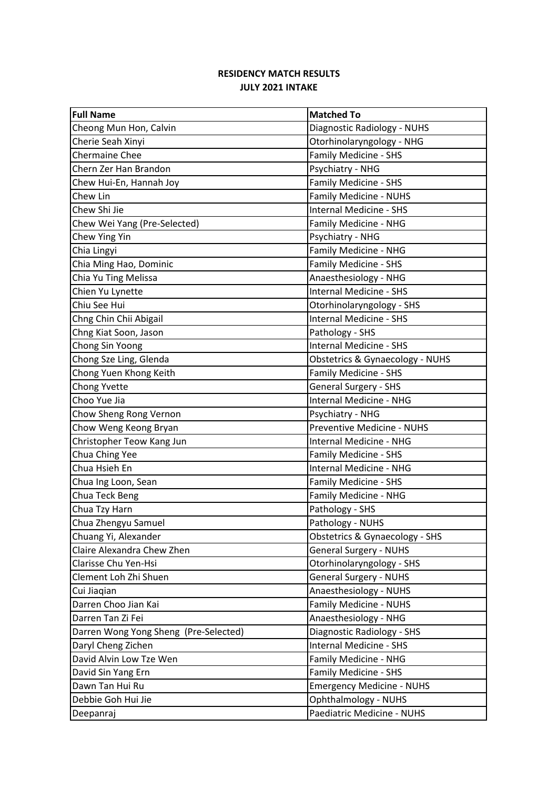| <b>Full Name</b>                      | <b>Matched To</b>                |
|---------------------------------------|----------------------------------|
| Cheong Mun Hon, Calvin                | Diagnostic Radiology - NUHS      |
| Cherie Seah Xinyi                     | Otorhinolaryngology - NHG        |
| <b>Chermaine Chee</b>                 | Family Medicine - SHS            |
| Chern Zer Han Brandon                 | Psychiatry - NHG                 |
| Chew Hui-En, Hannah Joy               | Family Medicine - SHS            |
| Chew Lin                              | Family Medicine - NUHS           |
| Chew Shi Jie                          | <b>Internal Medicine - SHS</b>   |
| Chew Wei Yang (Pre-Selected)          | Family Medicine - NHG            |
| Chew Ying Yin                         | Psychiatry - NHG                 |
| Chia Lingyi                           | Family Medicine - NHG            |
| Chia Ming Hao, Dominic                | Family Medicine - SHS            |
| Chia Yu Ting Melissa                  | Anaesthesiology - NHG            |
| Chien Yu Lynette                      | <b>Internal Medicine - SHS</b>   |
| Chiu See Hui                          | Otorhinolaryngology - SHS        |
| Chng Chin Chii Abigail                | <b>Internal Medicine - SHS</b>   |
| Chng Kiat Soon, Jason                 | Pathology - SHS                  |
| Chong Sin Yoong                       | Internal Medicine - SHS          |
| Chong Sze Ling, Glenda                | Obstetrics & Gynaecology - NUHS  |
| Chong Yuen Khong Keith                | Family Medicine - SHS            |
| Chong Yvette                          | General Surgery - SHS            |
| Choo Yue Jia                          | <b>Internal Medicine - NHG</b>   |
| Chow Sheng Rong Vernon                | Psychiatry - NHG                 |
| Chow Weng Keong Bryan                 | Preventive Medicine - NUHS       |
| Christopher Teow Kang Jun             | <b>Internal Medicine - NHG</b>   |
| Chua Ching Yee                        | Family Medicine - SHS            |
| Chua Hsieh En                         | Internal Medicine - NHG          |
| Chua Ing Loon, Sean                   | Family Medicine - SHS            |
| Chua Teck Beng                        | Family Medicine - NHG            |
| Chua Tzy Harn                         | Pathology - SHS                  |
| Chua Zhengyu Samuel                   | Pathology - NUHS                 |
| Chuang Yi, Alexander                  | Obstetrics & Gynaecology - SHS   |
| Claire Alexandra Chew Zhen            | <b>General Surgery - NUHS</b>    |
| Clarisse Chu Yen-Hsi                  | Otorhinolaryngology - SHS        |
| Clement Loh Zhi Shuen                 | <b>General Surgery - NUHS</b>    |
| Cui Jiaqian                           | Anaesthesiology - NUHS           |
| Darren Choo Jian Kai                  | Family Medicine - NUHS           |
| Darren Tan Zi Fei                     | Anaesthesiology - NHG            |
| Darren Wong Yong Sheng (Pre-Selected) | Diagnostic Radiology - SHS       |
| Daryl Cheng Zichen                    | <b>Internal Medicine - SHS</b>   |
| David Alvin Low Tze Wen               | Family Medicine - NHG            |
| David Sin Yang Ern                    | Family Medicine - SHS            |
| Dawn Tan Hui Ru                       | <b>Emergency Medicine - NUHS</b> |
| Debbie Goh Hui Jie                    | Ophthalmology - NUHS             |
| Deepanraj                             | Paediatric Medicine - NUHS       |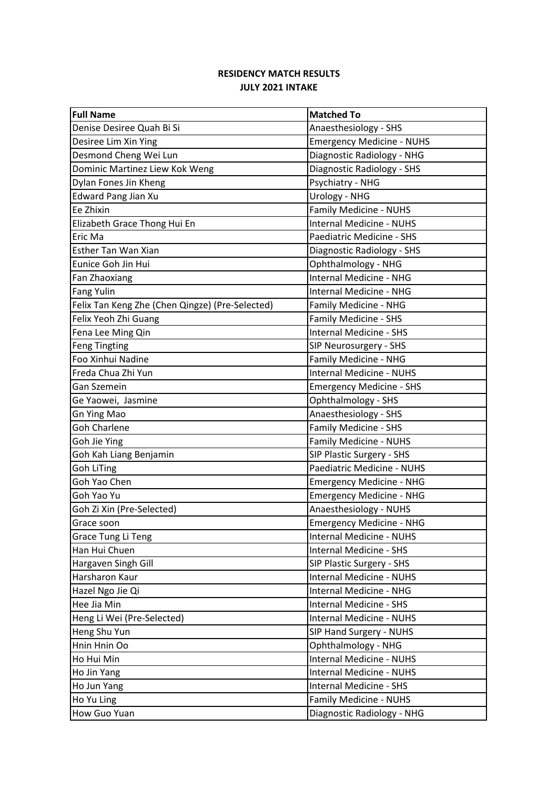| <b>Full Name</b>                                | <b>Matched To</b>                |
|-------------------------------------------------|----------------------------------|
| Denise Desiree Quah Bi Si                       | Anaesthesiology - SHS            |
| Desiree Lim Xin Ying                            | <b>Emergency Medicine - NUHS</b> |
| Desmond Cheng Wei Lun                           | Diagnostic Radiology - NHG       |
| Dominic Martinez Liew Kok Weng                  | Diagnostic Radiology - SHS       |
| Dylan Fones Jin Kheng                           | Psychiatry - NHG                 |
| <b>Edward Pang Jian Xu</b>                      | <b>Urology - NHG</b>             |
| Ee Zhixin                                       | Family Medicine - NUHS           |
| Elizabeth Grace Thong Hui En                    | <b>Internal Medicine - NUHS</b>  |
| Eric Ma                                         | Paediatric Medicine - SHS        |
| Esther Tan Wan Xian                             | Diagnostic Radiology - SHS       |
| Eunice Goh Jin Hui                              | Ophthalmology - NHG              |
| Fan Zhaoxiang                                   | Internal Medicine - NHG          |
| <b>Fang Yulin</b>                               | Internal Medicine - NHG          |
| Felix Tan Keng Zhe (Chen Qingze) (Pre-Selected) | Family Medicine - NHG            |
| Felix Yeoh Zhi Guang                            | Family Medicine - SHS            |
| Fena Lee Ming Qin                               | <b>Internal Medicine - SHS</b>   |
| <b>Feng Tingting</b>                            | SIP Neurosurgery - SHS           |
| Foo Xinhui Nadine                               | Family Medicine - NHG            |
| Freda Chua Zhi Yun                              | <b>Internal Medicine - NUHS</b>  |
| Gan Szemein                                     | <b>Emergency Medicine - SHS</b>  |
| Ge Yaowei, Jasmine                              | Ophthalmology - SHS              |
| <b>Gn Ying Mao</b>                              | Anaesthesiology - SHS            |
| <b>Goh Charlene</b>                             | <b>Family Medicine - SHS</b>     |
| Goh Jie Ying                                    | Family Medicine - NUHS           |
| Goh Kah Liang Benjamin                          | SIP Plastic Surgery - SHS        |
| <b>Goh LiTing</b>                               | Paediatric Medicine - NUHS       |
| Goh Yao Chen                                    | <b>Emergency Medicine - NHG</b>  |
| Goh Yao Yu                                      | <b>Emergency Medicine - NHG</b>  |
| Goh Zi Xin (Pre-Selected)                       | Anaesthesiology - NUHS           |
| Grace soon                                      | <b>Emergency Medicine - NHG</b>  |
| Grace Tung Li Teng                              | Internal Medicine - NUHS         |
| Han Hui Chuen                                   | Internal Medicine - SHS          |
| Hargaven Singh Gill                             | SIP Plastic Surgery - SHS        |
| Harsharon Kaur                                  | Internal Medicine - NUHS         |
| Hazel Ngo Jie Qi                                | <b>Internal Medicine - NHG</b>   |
| Hee Jia Min                                     | Internal Medicine - SHS          |
| Heng Li Wei (Pre-Selected)                      | Internal Medicine - NUHS         |
| Heng Shu Yun                                    | SIP Hand Surgery - NUHS          |
| Hnin Hnin Oo                                    | Ophthalmology - NHG              |
| Ho Hui Min                                      | <b>Internal Medicine - NUHS</b>  |
| Ho Jin Yang                                     | Internal Medicine - NUHS         |
| Ho Jun Yang                                     | Internal Medicine - SHS          |
| Ho Yu Ling                                      | Family Medicine - NUHS           |
| How Guo Yuan                                    | Diagnostic Radiology - NHG       |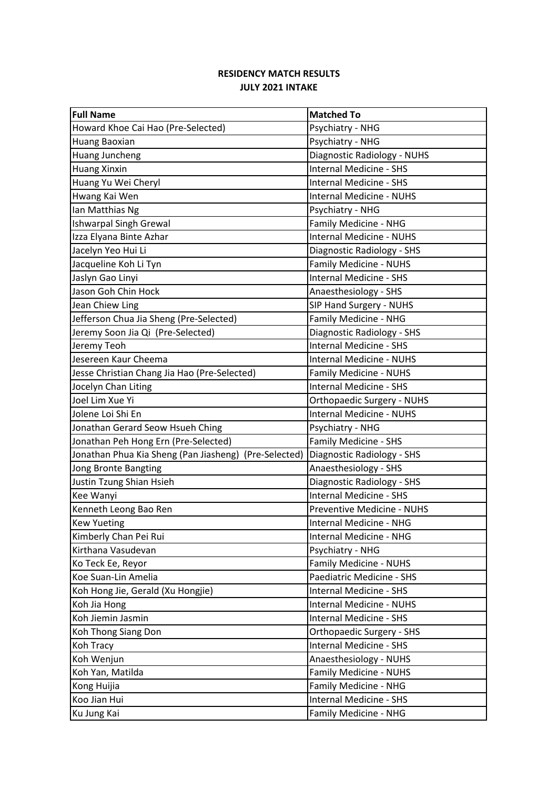| <b>Full Name</b>                                      | <b>Matched To</b>                 |
|-------------------------------------------------------|-----------------------------------|
| Howard Khoe Cai Hao (Pre-Selected)                    | Psychiatry - NHG                  |
| Huang Baoxian                                         | Psychiatry - NHG                  |
| Huang Juncheng                                        | Diagnostic Radiology - NUHS       |
| <b>Huang Xinxin</b>                                   | <b>Internal Medicine - SHS</b>    |
| Huang Yu Wei Cheryl                                   | <b>Internal Medicine - SHS</b>    |
| Hwang Kai Wen                                         | <b>Internal Medicine - NUHS</b>   |
| Ian Matthias Ng                                       | Psychiatry - NHG                  |
| <b>Ishwarpal Singh Grewal</b>                         | Family Medicine - NHG             |
| Izza Elyana Binte Azhar                               | <b>Internal Medicine - NUHS</b>   |
| Jacelyn Yeo Hui Li                                    | Diagnostic Radiology - SHS        |
| Jacqueline Koh Li Tyn                                 | Family Medicine - NUHS            |
| Jaslyn Gao Linyi                                      | Internal Medicine - SHS           |
| Jason Goh Chin Hock                                   | Anaesthesiology - SHS             |
| Jean Chiew Ling                                       | SIP Hand Surgery - NUHS           |
| Jefferson Chua Jia Sheng (Pre-Selected)               | Family Medicine - NHG             |
| Jeremy Soon Jia Qi (Pre-Selected)                     | Diagnostic Radiology - SHS        |
| Jeremy Teoh                                           | <b>Internal Medicine - SHS</b>    |
| Jesereen Kaur Cheema                                  | <b>Internal Medicine - NUHS</b>   |
| Jesse Christian Chang Jia Hao (Pre-Selected)          | <b>Family Medicine - NUHS</b>     |
| Jocelyn Chan Liting                                   | <b>Internal Medicine - SHS</b>    |
| Joel Lim Xue Yi                                       | <b>Orthopaedic Surgery - NUHS</b> |
| Jolene Loi Shi En                                     | Internal Medicine - NUHS          |
| Jonathan Gerard Seow Hsueh Ching                      | Psychiatry - NHG                  |
| Jonathan Peh Hong Ern (Pre-Selected)                  | Family Medicine - SHS             |
| Jonathan Phua Kia Sheng (Pan Jiasheng) (Pre-Selected) | Diagnostic Radiology - SHS        |
| Jong Bronte Bangting                                  | Anaesthesiology - SHS             |
| Justin Tzung Shian Hsieh                              | Diagnostic Radiology - SHS        |
| Kee Wanyi                                             | <b>Internal Medicine - SHS</b>    |
| Kenneth Leong Bao Ren                                 | Preventive Medicine - NUHS        |
| <b>Kew Yueting</b>                                    | Internal Medicine - NHG           |
| Kimberly Chan Pei Rui                                 | Internal Medicine - NHG           |
| Kirthana Vasudevan                                    | Psychiatry - NHG                  |
| Ko Teck Ee, Reyor                                     | Family Medicine - NUHS            |
| Koe Suan-Lin Amelia                                   | Paediatric Medicine - SHS         |
| Koh Hong Jie, Gerald (Xu Hongjie)                     | <b>Internal Medicine - SHS</b>    |
| Koh Jia Hong                                          | Internal Medicine - NUHS          |
| Koh Jiemin Jasmin                                     | <b>Internal Medicine - SHS</b>    |
| Koh Thong Siang Don                                   | Orthopaedic Surgery - SHS         |
| Koh Tracy                                             | Internal Medicine - SHS           |
| Koh Wenjun                                            | Anaesthesiology - NUHS            |
| Koh Yan, Matilda                                      | Family Medicine - NUHS            |
| Kong Huijia                                           | Family Medicine - NHG             |
| Koo Jian Hui                                          | Internal Medicine - SHS           |
| Ku Jung Kai                                           | Family Medicine - NHG             |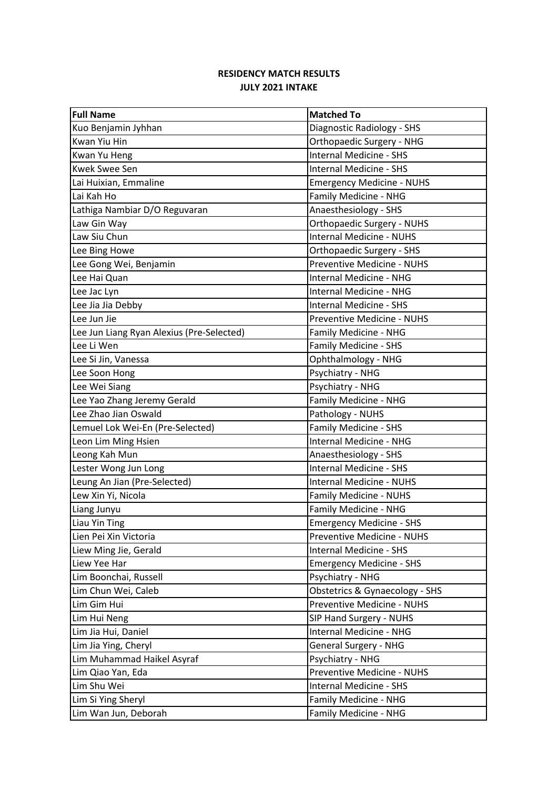| <b>Full Name</b>                          | <b>Matched To</b>                 |
|-------------------------------------------|-----------------------------------|
| Kuo Benjamin Jyhhan                       | Diagnostic Radiology - SHS        |
| Kwan Yiu Hin                              | Orthopaedic Surgery - NHG         |
| Kwan Yu Heng                              | <b>Internal Medicine - SHS</b>    |
| <b>Kwek Swee Sen</b>                      | <b>Internal Medicine - SHS</b>    |
| Lai Huixian, Emmaline                     | <b>Emergency Medicine - NUHS</b>  |
| Lai Kah Ho                                | Family Medicine - NHG             |
| Lathiga Nambiar D/O Reguvaran             | Anaesthesiology - SHS             |
| Law Gin Way                               | <b>Orthopaedic Surgery - NUHS</b> |
| Law Siu Chun                              | <b>Internal Medicine - NUHS</b>   |
| Lee Bing Howe                             | Orthopaedic Surgery - SHS         |
| Lee Gong Wei, Benjamin                    | Preventive Medicine - NUHS        |
| Lee Hai Quan                              | <b>Internal Medicine - NHG</b>    |
| Lee Jac Lyn                               | Internal Medicine - NHG           |
| Lee Jia Jia Debby                         | <b>Internal Medicine - SHS</b>    |
| Lee Jun Jie                               | Preventive Medicine - NUHS        |
| Lee Jun Liang Ryan Alexius (Pre-Selected) | Family Medicine - NHG             |
| Lee Li Wen                                | Family Medicine - SHS             |
| Lee Si Jin, Vanessa                       | Ophthalmology - NHG               |
| Lee Soon Hong                             | Psychiatry - NHG                  |
| Lee Wei Siang                             | Psychiatry - NHG                  |
| Lee Yao Zhang Jeremy Gerald               | Family Medicine - NHG             |
| Lee Zhao Jian Oswald                      | Pathology - NUHS                  |
| Lemuel Lok Wei-En (Pre-Selected)          | <b>Family Medicine - SHS</b>      |
| Leon Lim Ming Hsien                       | <b>Internal Medicine - NHG</b>    |
| Leong Kah Mun                             | Anaesthesiology - SHS             |
| Lester Wong Jun Long                      | <b>Internal Medicine - SHS</b>    |
| Leung An Jian (Pre-Selected)              | <b>Internal Medicine - NUHS</b>   |
| Lew Xin Yi, Nicola                        | <b>Family Medicine - NUHS</b>     |
| Liang Junyu                               | Family Medicine - NHG             |
| Liau Yin Ting                             | <b>Emergency Medicine - SHS</b>   |
| Lien Pei Xin Victoria                     | Preventive Medicine - NUHS        |
| Liew Ming Jie, Gerald                     | Internal Medicine - SHS           |
| Liew Yee Har                              | <b>Emergency Medicine - SHS</b>   |
| Lim Boonchai, Russell                     | Psychiatry - NHG                  |
| Lim Chun Wei, Caleb                       | Obstetrics & Gynaecology - SHS    |
| Lim Gim Hui                               | Preventive Medicine - NUHS        |
| Lim Hui Neng                              | SIP Hand Surgery - NUHS           |
| Lim Jia Hui, Daniel                       | Internal Medicine - NHG           |
| Lim Jia Ying, Cheryl                      | <b>General Surgery - NHG</b>      |
| Lim Muhammad Haikel Asyraf                | Psychiatry - NHG                  |
| Lim Qiao Yan, Eda                         | Preventive Medicine - NUHS        |
| Lim Shu Wei                               | <b>Internal Medicine - SHS</b>    |
| Lim Si Ying Sheryl                        | Family Medicine - NHG             |
| Lim Wan Jun, Deborah                      | Family Medicine - NHG             |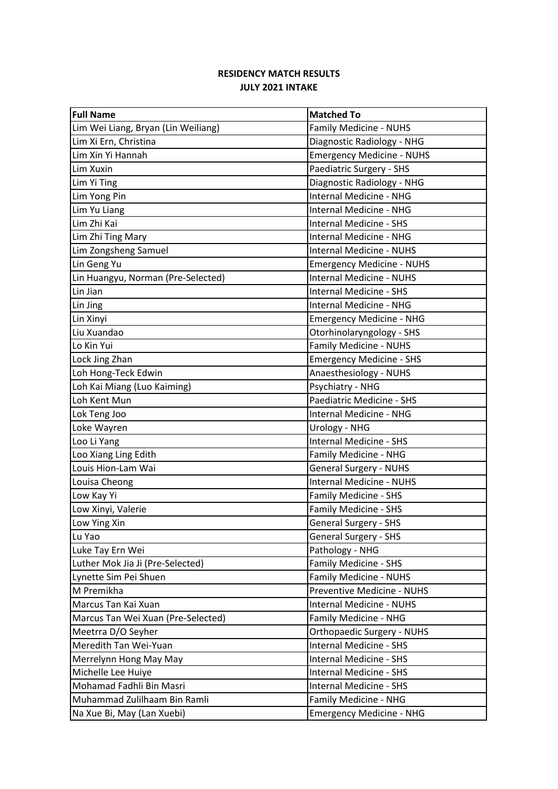| <b>Full Name</b>                    | <b>Matched To</b>                 |
|-------------------------------------|-----------------------------------|
| Lim Wei Liang, Bryan (Lin Weiliang) | Family Medicine - NUHS            |
| Lim Xi Ern, Christina               | Diagnostic Radiology - NHG        |
| Lim Xin Yi Hannah                   | <b>Emergency Medicine - NUHS</b>  |
| Lim Xuxin                           | Paediatric Surgery - SHS          |
| Lim Yi Ting                         | Diagnostic Radiology - NHG        |
| Lim Yong Pin                        | <b>Internal Medicine - NHG</b>    |
| Lim Yu Liang                        | <b>Internal Medicine - NHG</b>    |
| Lim Zhi Kai                         | <b>Internal Medicine - SHS</b>    |
| Lim Zhi Ting Mary                   | <b>Internal Medicine - NHG</b>    |
| Lim Zongsheng Samuel                | <b>Internal Medicine - NUHS</b>   |
| Lin Geng Yu                         | <b>Emergency Medicine - NUHS</b>  |
| Lin Huangyu, Norman (Pre-Selected)  | <b>Internal Medicine - NUHS</b>   |
| Lin Jian                            | <b>Internal Medicine - SHS</b>    |
| Lin Jing                            | Internal Medicine - NHG           |
| Lin Xinyi                           | <b>Emergency Medicine - NHG</b>   |
| Liu Xuandao                         | Otorhinolaryngology - SHS         |
| Lo Kin Yui                          | Family Medicine - NUHS            |
| Lock Jing Zhan                      | <b>Emergency Medicine - SHS</b>   |
| Loh Hong-Teck Edwin                 | Anaesthesiology - NUHS            |
| Loh Kai Miang (Luo Kaiming)         | Psychiatry - NHG                  |
| Loh Kent Mun                        | Paediatric Medicine - SHS         |
| Lok Teng Joo                        | Internal Medicine - NHG           |
| Loke Wayren                         | <b>Urology - NHG</b>              |
| Loo Li Yang                         | <b>Internal Medicine - SHS</b>    |
| Loo Xiang Ling Edith                | Family Medicine - NHG             |
| Louis Hion-Lam Wai                  | <b>General Surgery - NUHS</b>     |
| Louisa Cheong                       | <b>Internal Medicine - NUHS</b>   |
| Low Kay Yi                          | Family Medicine - SHS             |
| Low Xinyi, Valerie                  | Family Medicine - SHS             |
| Low Ying Xin                        | <b>General Surgery - SHS</b>      |
| Lu Yao                              | <b>General Surgery - SHS</b>      |
| Luke Tay Ern Wei                    | Pathology - NHG                   |
| Luther Mok Jia Ji (Pre-Selected)    | Family Medicine - SHS             |
| Lynette Sim Pei Shuen               | Family Medicine - NUHS            |
| M Premikha                          | Preventive Medicine - NUHS        |
| Marcus Tan Kai Xuan                 | <b>Internal Medicine - NUHS</b>   |
| Marcus Tan Wei Xuan (Pre-Selected)  | Family Medicine - NHG             |
| Meetrra D/O Seyher                  | <b>Orthopaedic Surgery - NUHS</b> |
| Meredith Tan Wei-Yuan               | Internal Medicine - SHS           |
| Merrelynn Hong May May              | Internal Medicine - SHS           |
| Michelle Lee Huiye                  | Internal Medicine - SHS           |
| Mohamad Fadhli Bin Masri            | Internal Medicine - SHS           |
| Muhammad Zulilhaam Bin Ramli        | Family Medicine - NHG             |
| Na Xue Bi, May (Lan Xuebi)          | <b>Emergency Medicine - NHG</b>   |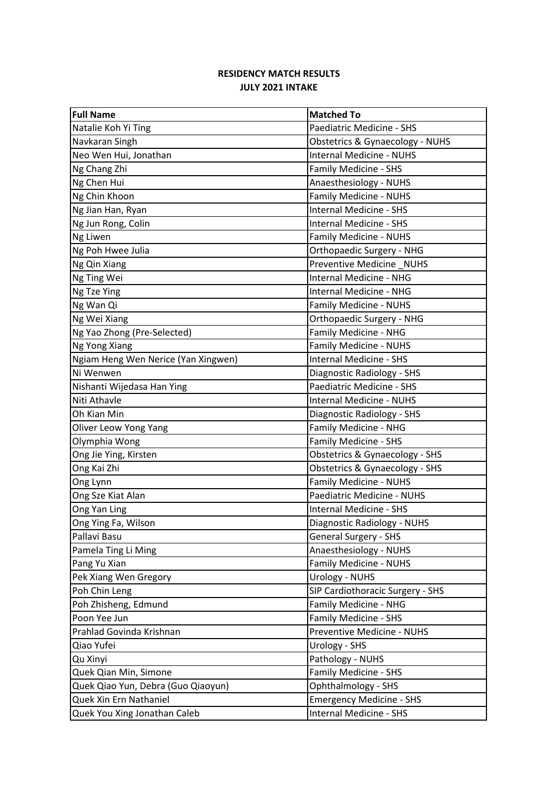| <b>Full Name</b>                    | <b>Matched To</b>                |
|-------------------------------------|----------------------------------|
| Natalie Koh Yi Ting                 | Paediatric Medicine - SHS        |
| Navkaran Singh                      | Obstetrics & Gynaecology - NUHS  |
| Neo Wen Hui, Jonathan               | <b>Internal Medicine - NUHS</b>  |
| Ng Chang Zhi                        | Family Medicine - SHS            |
| Ng Chen Hui                         | Anaesthesiology - NUHS           |
| Ng Chin Khoon                       | Family Medicine - NUHS           |
| Ng Jian Han, Ryan                   | <b>Internal Medicine - SHS</b>   |
| Ng Jun Rong, Colin                  | Internal Medicine - SHS          |
| Ng Liwen                            | <b>Family Medicine - NUHS</b>    |
| Ng Poh Hwee Julia                   | <b>Orthopaedic Surgery - NHG</b> |
| Ng Qin Xiang                        | Preventive Medicine NUHS         |
| Ng Ting Wei                         | <b>Internal Medicine - NHG</b>   |
| Ng Tze Ying                         | Internal Medicine - NHG          |
| Ng Wan Qi                           | <b>Family Medicine - NUHS</b>    |
| Ng Wei Xiang                        | Orthopaedic Surgery - NHG        |
| Ng Yao Zhong (Pre-Selected)         | Family Medicine - NHG            |
| Ng Yong Xiang                       | Family Medicine - NUHS           |
| Ngiam Heng Wen Nerice (Yan Xingwen) | <b>Internal Medicine - SHS</b>   |
| Ni Wenwen                           | Diagnostic Radiology - SHS       |
| Nishanti Wijedasa Han Ying          | Paediatric Medicine - SHS        |
| Niti Athavle                        | <b>Internal Medicine - NUHS</b>  |
| Oh Kian Min                         | Diagnostic Radiology - SHS       |
| Oliver Leow Yong Yang               | Family Medicine - NHG            |
| Olymphia Wong                       | Family Medicine - SHS            |
| Ong Jie Ying, Kirsten               | Obstetrics & Gynaecology - SHS   |
| Ong Kai Zhi                         | Obstetrics & Gynaecology - SHS   |
| Ong Lynn                            | Family Medicine - NUHS           |
| Ong Sze Kiat Alan                   | Paediatric Medicine - NUHS       |
| Ong Yan Ling                        | <b>Internal Medicine - SHS</b>   |
| Ong Ying Fa, Wilson                 | Diagnostic Radiology - NUHS      |
| Pallavi Basu                        | General Surgery - SHS            |
| Pamela Ting Li Ming                 | Anaesthesiology - NUHS           |
| Pang Yu Xian                        | Family Medicine - NUHS           |
| Pek Xiang Wen Gregory               | <b>Urology - NUHS</b>            |
| Poh Chin Leng                       | SIP Cardiothoracic Surgery - SHS |
| Poh Zhisheng, Edmund                | Family Medicine - NHG            |
| Poon Yee Jun                        | Family Medicine - SHS            |
| Prahlad Govinda Krishnan            | Preventive Medicine - NUHS       |
| Qiao Yufei                          | Urology - SHS                    |
| Qu Xinyi                            | Pathology - NUHS                 |
| Quek Qian Min, Simone               | Family Medicine - SHS            |
| Quek Qiao Yun, Debra (Guo Qiaoyun)  | Ophthalmology - SHS              |
| Quek Xin Ern Nathaniel              | <b>Emergency Medicine - SHS</b>  |
| Quek You Xing Jonathan Caleb        | Internal Medicine - SHS          |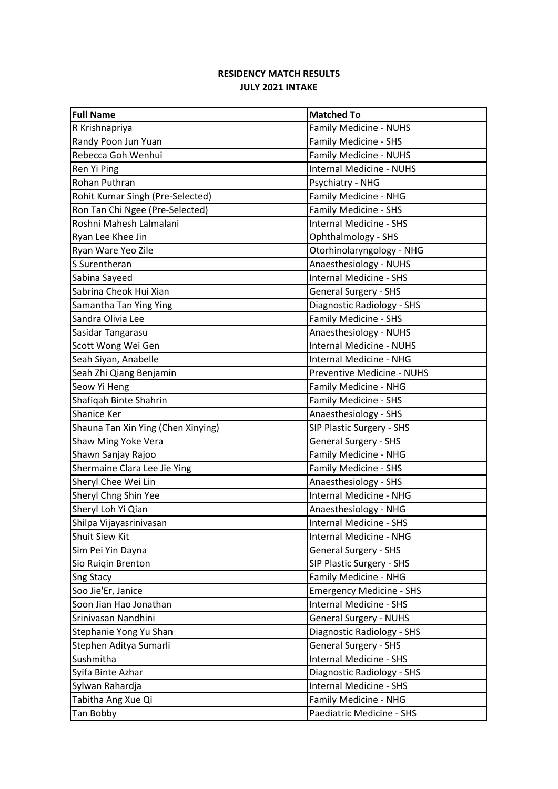| <b>Full Name</b>                   | <b>Matched To</b>               |
|------------------------------------|---------------------------------|
| R Krishnapriya                     | Family Medicine - NUHS          |
| Randy Poon Jun Yuan                | <b>Family Medicine - SHS</b>    |
| Rebecca Goh Wenhui                 | Family Medicine - NUHS          |
| Ren Yi Ping                        | <b>Internal Medicine - NUHS</b> |
| Rohan Puthran                      | Psychiatry - NHG                |
| Rohit Kumar Singh (Pre-Selected)   | Family Medicine - NHG           |
| Ron Tan Chi Ngee (Pre-Selected)    | Family Medicine - SHS           |
| Roshni Mahesh Lalmalani            | Internal Medicine - SHS         |
| Ryan Lee Khee Jin                  | Ophthalmology - SHS             |
| Ryan Ware Yeo Zile                 | Otorhinolaryngology - NHG       |
| S Surentheran                      | Anaesthesiology - NUHS          |
| Sabina Sayeed                      | <b>Internal Medicine - SHS</b>  |
| Sabrina Cheok Hui Xian             | <b>General Surgery - SHS</b>    |
| Samantha Tan Ying Ying             | Diagnostic Radiology - SHS      |
| Sandra Olivia Lee                  | Family Medicine - SHS           |
| Sasidar Tangarasu                  | Anaesthesiology - NUHS          |
| Scott Wong Wei Gen                 | <b>Internal Medicine - NUHS</b> |
| Seah Siyan, Anabelle               | <b>Internal Medicine - NHG</b>  |
| Seah Zhi Qiang Benjamin            | Preventive Medicine - NUHS      |
| Seow Yi Heng                       | Family Medicine - NHG           |
| Shafiqah Binte Shahrin             | Family Medicine - SHS           |
| Shanice Ker                        | Anaesthesiology - SHS           |
| Shauna Tan Xin Ying (Chen Xinying) | SIP Plastic Surgery - SHS       |
| Shaw Ming Yoke Vera                | <b>General Surgery - SHS</b>    |
| Shawn Sanjay Rajoo                 | Family Medicine - NHG           |
| Shermaine Clara Lee Jie Ying       | Family Medicine - SHS           |
| Sheryl Chee Wei Lin                | Anaesthesiology - SHS           |
| Sheryl Chng Shin Yee               | <b>Internal Medicine - NHG</b>  |
| Sheryl Loh Yi Qian                 | Anaesthesiology - NHG           |
| Shilpa Vijayasrinivasan            | Internal Medicine - SHS         |
| Shuit Siew Kit                     | Internal Medicine - NHG         |
| Sim Pei Yin Dayna                  | <b>General Surgery - SHS</b>    |
| Sio Ruiqin Brenton                 | SIP Plastic Surgery - SHS       |
| Sng Stacy                          | Family Medicine - NHG           |
| Soo Jie'Er, Janice                 | <b>Emergency Medicine - SHS</b> |
| Soon Jian Hao Jonathan             | Internal Medicine - SHS         |
| Srinivasan Nandhini                | <b>General Surgery - NUHS</b>   |
| Stephanie Yong Yu Shan             | Diagnostic Radiology - SHS      |
| Stephen Aditya Sumarli             | General Surgery - SHS           |
| Sushmitha                          | Internal Medicine - SHS         |
| Syifa Binte Azhar                  | Diagnostic Radiology - SHS      |
| Sylwan Rahardja                    | Internal Medicine - SHS         |
| Tabitha Ang Xue Qi                 | Family Medicine - NHG           |
| Tan Bobby                          | Paediatric Medicine - SHS       |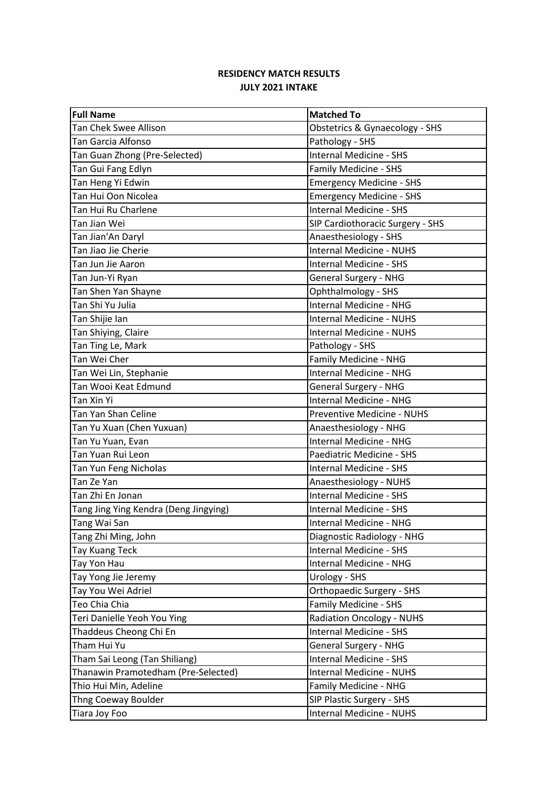| <b>Full Name</b>                      | <b>Matched To</b>                |
|---------------------------------------|----------------------------------|
| Tan Chek Swee Allison                 | Obstetrics & Gynaecology - SHS   |
| Tan Garcia Alfonso                    | Pathology - SHS                  |
| Tan Guan Zhong (Pre-Selected)         | <b>Internal Medicine - SHS</b>   |
| Tan Gui Fang Edlyn                    | Family Medicine - SHS            |
| Tan Heng Yi Edwin                     | <b>Emergency Medicine - SHS</b>  |
| Tan Hui Oon Nicolea                   | <b>Emergency Medicine - SHS</b>  |
| Tan Hui Ru Charlene                   | <b>Internal Medicine - SHS</b>   |
| Tan Jian Wei                          | SIP Cardiothoracic Surgery - SHS |
| Tan Jian'An Daryl                     | Anaesthesiology - SHS            |
| Tan Jiao Jie Cherie                   | <b>Internal Medicine - NUHS</b>  |
| Tan Jun Jie Aaron                     | <b>Internal Medicine - SHS</b>   |
| Tan Jun-Yi Ryan                       | <b>General Surgery - NHG</b>     |
| Tan Shen Yan Shayne                   | Ophthalmology - SHS              |
| Tan Shi Yu Julia                      | <b>Internal Medicine - NHG</b>   |
| Tan Shijie Ian                        | <b>Internal Medicine - NUHS</b>  |
| Tan Shiying, Claire                   | <b>Internal Medicine - NUHS</b>  |
| Tan Ting Le, Mark                     | Pathology - SHS                  |
| Tan Wei Cher                          | Family Medicine - NHG            |
| Tan Wei Lin, Stephanie                | Internal Medicine - NHG          |
| Tan Wooi Keat Edmund                  | <b>General Surgery - NHG</b>     |
| Tan Xin Yi                            | <b>Internal Medicine - NHG</b>   |
| Tan Yan Shan Celine                   | Preventive Medicine - NUHS       |
| Tan Yu Xuan (Chen Yuxuan)             | Anaesthesiology - NHG            |
| Tan Yu Yuan, Evan                     | Internal Medicine - NHG          |
| Tan Yuan Rui Leon                     | Paediatric Medicine - SHS        |
| Tan Yun Feng Nicholas                 | Internal Medicine - SHS          |
| Tan Ze Yan                            | Anaesthesiology - NUHS           |
| Tan Zhi En Jonan                      | <b>Internal Medicine - SHS</b>   |
| Tang Jing Ying Kendra (Deng Jingying) | <b>Internal Medicine - SHS</b>   |
| Tang Wai San                          | Internal Medicine - NHG          |
| Tang Zhi Ming, John                   | Diagnostic Radiology - NHG       |
| Tay Kuang Teck                        | Internal Medicine - SHS          |
| Tay Yon Hau                           | <b>Internal Medicine - NHG</b>   |
| Tay Yong Jie Jeremy                   | Urology - SHS                    |
| Tay You Wei Adriel                    | Orthopaedic Surgery - SHS        |
| Teo Chia Chia                         | Family Medicine - SHS            |
| Teri Danielle Yeoh You Ying           | <b>Radiation Oncology - NUHS</b> |
| Thaddeus Cheong Chi En                | <b>Internal Medicine - SHS</b>   |
| Tham Hui Yu                           | <b>General Surgery - NHG</b>     |
| Tham Sai Leong (Tan Shiliang)         | <b>Internal Medicine - SHS</b>   |
| Thanawin Pramotedham (Pre-Selected)   | Internal Medicine - NUHS         |
| Thio Hui Min, Adeline                 | Family Medicine - NHG            |
| Thng Coeway Boulder                   | SIP Plastic Surgery - SHS        |
| Tiara Joy Foo                         | Internal Medicine - NUHS         |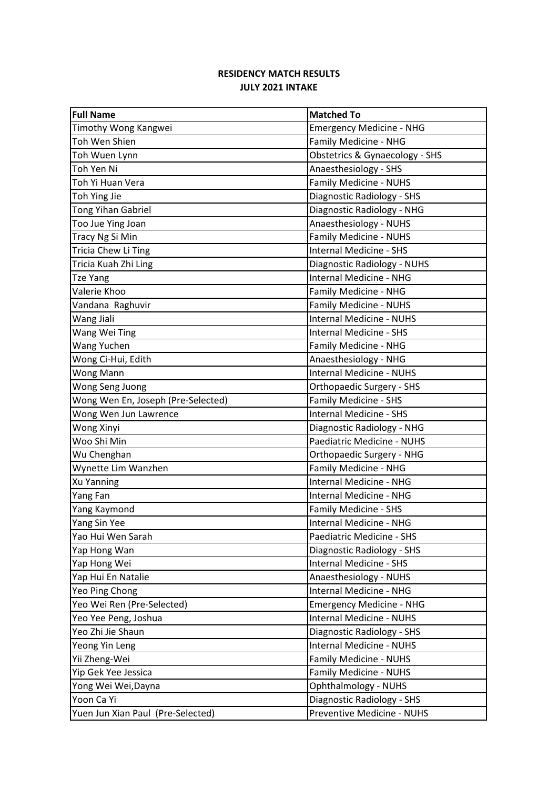| <b>Full Name</b>                   | <b>Matched To</b>                |
|------------------------------------|----------------------------------|
| Timothy Wong Kangwei               | <b>Emergency Medicine - NHG</b>  |
| Toh Wen Shien                      | Family Medicine - NHG            |
| Toh Wuen Lynn                      | Obstetrics & Gynaecology - SHS   |
| Toh Yen Ni                         | Anaesthesiology - SHS            |
| Toh Yi Huan Vera                   | <b>Family Medicine - NUHS</b>    |
| Toh Ying Jie                       | Diagnostic Radiology - SHS       |
| <b>Tong Yihan Gabriel</b>          | Diagnostic Radiology - NHG       |
| Too Jue Ying Joan                  | Anaesthesiology - NUHS           |
| Tracy Ng Si Min                    | Family Medicine - NUHS           |
| Tricia Chew Li Ting                | <b>Internal Medicine - SHS</b>   |
| Tricia Kuah Zhi Ling               | Diagnostic Radiology - NUHS      |
| <b>Tze Yang</b>                    | Internal Medicine - NHG          |
| Valerie Khoo                       | Family Medicine - NHG            |
| Vandana Raghuvir                   | Family Medicine - NUHS           |
| Wang Jiali                         | <b>Internal Medicine - NUHS</b>  |
| Wang Wei Ting                      | <b>Internal Medicine - SHS</b>   |
| Wang Yuchen                        | Family Medicine - NHG            |
| Wong Ci-Hui, Edith                 | Anaesthesiology - NHG            |
| Wong Mann                          | <b>Internal Medicine - NUHS</b>  |
| Wong Seng Juong                    | Orthopaedic Surgery - SHS        |
| Wong Wen En, Joseph (Pre-Selected) | Family Medicine - SHS            |
| Wong Wen Jun Lawrence              | <b>Internal Medicine - SHS</b>   |
| Wong Xinyi                         | Diagnostic Radiology - NHG       |
| Woo Shi Min                        | Paediatric Medicine - NUHS       |
| Wu Chenghan                        | <b>Orthopaedic Surgery - NHG</b> |
| Wynette Lim Wanzhen                | Family Medicine - NHG            |
| Xu Yanning                         | <b>Internal Medicine - NHG</b>   |
| Yang Fan                           | Internal Medicine - NHG          |
| Yang Kaymond                       | Family Medicine - SHS            |
| Yang Sin Yee                       | <b>Internal Medicine - NHG</b>   |
| Yao Hui Wen Sarah                  | Paediatric Medicine - SHS        |
| Yap Hong Wan                       | Diagnostic Radiology - SHS       |
| Yap Hong Wei                       | <b>Internal Medicine - SHS</b>   |
| Yap Hui En Natalie                 | Anaesthesiology - NUHS           |
| Yeo Ping Chong                     | Internal Medicine - NHG          |
| Yeo Wei Ren (Pre-Selected)         | <b>Emergency Medicine - NHG</b>  |
| Yeo Yee Peng, Joshua               | <b>Internal Medicine - NUHS</b>  |
| Yeo Zhi Jie Shaun                  | Diagnostic Radiology - SHS       |
| Yeong Yin Leng                     | <b>Internal Medicine - NUHS</b>  |
| Yii Zheng-Wei                      | Family Medicine - NUHS           |
| Yip Gek Yee Jessica                | Family Medicine - NUHS           |
| Yong Wei Wei, Dayna                | <b>Ophthalmology - NUHS</b>      |
| Yoon Ca Yi                         | Diagnostic Radiology - SHS       |
| Yuen Jun Xian Paul (Pre-Selected)  | Preventive Medicine - NUHS       |